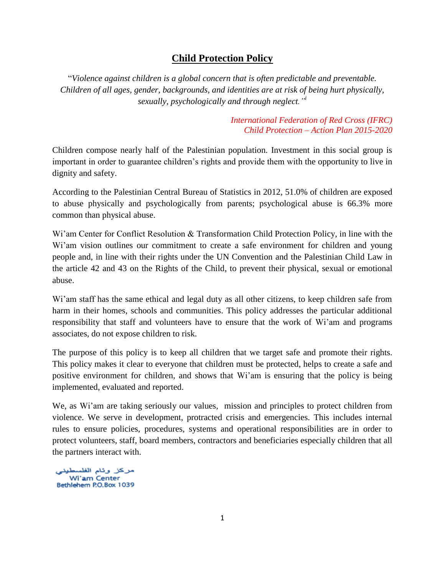# **Child Protection Policy**

"*Violence against children is a global concern that is often predictable and preventable. Children of all ages, gender, backgrounds, and identities are at risk of being hurt physically, sexually, psychologically and through neglect."<sup>i</sup>*

> *International Federation of Red Cross (IFRC) Child Protection – Action Plan 2015-2020*

Children compose nearly half of the Palestinian population. Investment in this social group is important in order to guarantee children's rights and provide them with the opportunity to live in dignity and safety.

According to the Palestinian Central Bureau of Statistics in 2012, 51.0% of children are exposed to abuse physically and psychologically from parents; psychological abuse is 66.3% more common than physical abuse.

Wi'am Center for Conflict Resolution & Transformation Child Protection Policy, in line with the Wi'am vision outlines our commitment to create a safe environment for children and young people and, in line with their rights under the UN Convention and the Palestinian Child Law in the article 42 and 43 on the Rights of the Child, to prevent their physical, sexual or emotional abuse.

Wi'am staff has the same ethical and legal duty as all other citizens, to keep children safe from harm in their homes, schools and communities. This policy addresses the particular additional responsibility that staff and volunteers have to ensure that the work of Wi'am and programs associates, do not expose children to risk.

The purpose of this policy is to keep all children that we target safe and promote their rights. This policy makes it clear to everyone that children must be protected, helps to create a safe and positive environment for children, and shows that Wi'am is ensuring that the policy is being implemented, evaluated and reported.

We, as Wi'am are taking seriously our values, mission and principles to protect children from violence. We serve in development, protracted crisis and emergencies. This includes internal rules to ensure policies, procedures, systems and operational responsibilities are in order to protect volunteers, staff, board members, contractors and beneficiaries especially children that all the partners interact with.

مركز وئام الفلسطينه<br>Wi'am Center Bethlehem P.O.Box 1039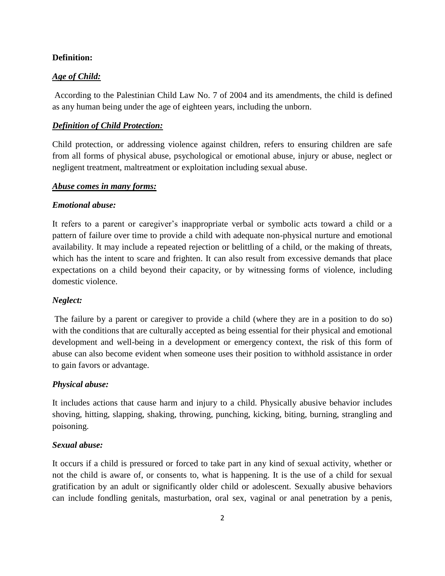#### **Definition:**

#### *Age of Child:*

According to the Palestinian Child Law No. 7 of 2004 and its amendments, the child is defined as any human being under the age of eighteen years, including the unborn.

#### *Definition of Child Protection:*

Child protection, or addressing violence against children, refers to ensuring children are safe from all forms of physical abuse, psychological or emotional abuse, injury or abuse, neglect or negligent treatment, maltreatment or exploitation including sexual abuse.

#### *Abuse comes in many forms:*

### *Emotional abuse:*

It refers to a parent or caregiver's inappropriate verbal or symbolic acts toward a child or a pattern of failure over time to provide a child with adequate non-physical nurture and emotional availability. It may include a repeated rejection or belittling of a child, or the making of threats, which has the intent to scare and frighten. It can also result from excessive demands that place expectations on a child beyond their capacity, or by witnessing forms of violence, including domestic violence.

#### *Neglect:*

The failure by a parent or caregiver to provide a child (where they are in a position to do so) with the conditions that are culturally accepted as being essential for their physical and emotional development and well-being in a development or emergency context, the risk of this form of abuse can also become evident when someone uses their position to withhold assistance in order to gain favors or advantage.

#### *Physical abuse:*

It includes actions that cause harm and injury to a child. Physically abusive behavior includes shoving, hitting, slapping, shaking, throwing, punching, kicking, biting, burning, strangling and poisoning.

### *Sexual abuse:*

It occurs if a child is pressured or forced to take part in any kind of sexual activity, whether or not the child is aware of, or consents to, what is happening. It is the use of a child for sexual gratification by an adult or significantly older child or adolescent. Sexually abusive behaviors can include fondling genitals, masturbation, oral sex, vaginal or anal penetration by a penis,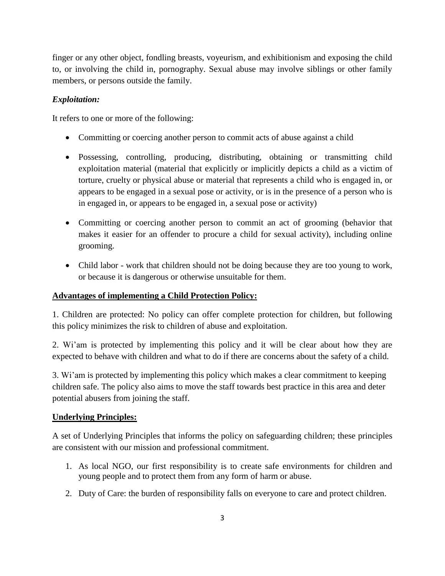finger or any other object, fondling breasts, voyeurism, and exhibitionism and exposing the child to, or involving the child in, pornography. Sexual abuse may involve siblings or other family members, or persons outside the family.

## *Exploitation:*

It refers to one or more of the following:

- Committing or coercing another person to commit acts of abuse against a child
- Possessing, controlling, producing, distributing, obtaining or transmitting child exploitation material (material that explicitly or implicitly depicts a child as a victim of torture, cruelty or physical abuse or material that represents a child who is engaged in, or appears to be engaged in a sexual pose or activity, or is in the presence of a person who is in engaged in, or appears to be engaged in, a sexual pose or activity)
- Committing or coercing another person to commit an act of grooming (behavior that makes it easier for an offender to procure a child for sexual activity), including online grooming.
- Child labor work that children should not be doing because they are too young to work, or because it is dangerous or otherwise unsuitable for them.

## **Advantages of implementing a Child Protection Policy:**

1. Children are protected: No policy can offer complete protection for children, but following this policy minimizes the risk to children of abuse and exploitation.

2. Wi'am is protected by implementing this policy and it will be clear about how they are expected to behave with children and what to do if there are concerns about the safety of a child.

3. Wi'am is protected by implementing this policy which makes a clear commitment to keeping children safe. The policy also aims to move the staff towards best practice in this area and deter potential abusers from joining the staff.

## **Underlying Principles:**

A set of Underlying Principles that informs the policy on safeguarding children; these principles are consistent with our mission and professional commitment.

- 1. As local NGO, our first responsibility is to create safe environments for children and young people and to protect them from any form of harm or abuse.
- 2. Duty of Care: the burden of responsibility falls on everyone to care and protect children.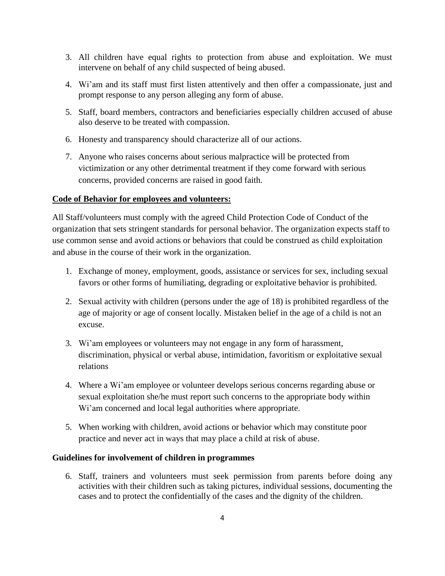- 3. All children have equal rights to protection from abuse and exploitation. We must intervene on behalf of any child suspected of being abused.
- 4. Wi'am and its staff must first listen attentively and then offer a compassionate, just and prompt response to any person alleging any form of abuse.
- 5. Staff, board members, contractors and beneficiaries especially children accused of abuse also deserve to be treated with compassion.
- 6. Honesty and transparency should characterize all of our actions.
- 7. Anyone who raises concerns about serious malpractice will be protected from victimization or any other detrimental treatment if they come forward with serious concerns, provided concerns are raised in good faith.

### **Code of Behavior for employees and volunteers:**

All Staff/volunteers must comply with the agreed Child Protection Code of Conduct of the organization that sets stringent standards for personal behavior. The organization expects staff to use common sense and avoid actions or behaviors that could be construed as child exploitation and abuse in the course of their work in the organization.

- 1. Exchange of money, employment, goods, assistance or services for sex, including sexual favors or other forms of humiliating, degrading or exploitative behavior is prohibited.
- 2. Sexual activity with children (persons under the age of 18) is prohibited regardless of the age of majority or age of consent locally. Mistaken belief in the age of a child is not an excuse.
- 3. Wi'am employees or volunteers may not engage in any form of harassment, discrimination, physical or verbal abuse, intimidation, favoritism or exploitative sexual relations
- 4. Where a Wi'am employee or volunteer develops serious concerns regarding abuse or sexual exploitation she/he must report such concerns to the appropriate body within Wi'am concerned and local legal authorities where appropriate.
- 5. When working with children, avoid actions or behavior which may constitute poor practice and never act in ways that may place a child at risk of abuse.

#### **Guidelines for involvement of children in programmes**

6. Staff, trainers and volunteers must seek permission from parents before doing any activities with their children such as taking pictures, individual sessions, documenting the cases and to protect the confidentially of the cases and the dignity of the children.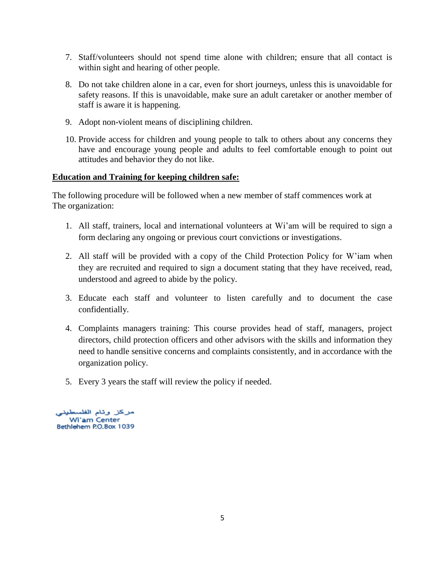- 7. Staff/volunteers should not spend time alone with children; ensure that all contact is within sight and hearing of other people.
- 8. Do not take children alone in a car, even for short journeys, unless this is unavoidable for safety reasons. If this is unavoidable, make sure an adult caretaker or another member of staff is aware it is happening.
- 9. Adopt non-violent means of disciplining children.
- 10. Provide access for children and young people to talk to others about any concerns they have and encourage young people and adults to feel comfortable enough to point out attitudes and behavior they do not like.

### **Education and Training for keeping children safe:**

The following procedure will be followed when a new member of staff commences work at The organization:

- 1. All staff, trainers, local and international volunteers at Wi'am will be required to sign a form declaring any ongoing or previous court convictions or investigations.
- 2. All staff will be provided with a copy of the Child Protection Policy for W'iam when they are recruited and required to sign a document stating that they have received, read, understood and agreed to abide by the policy.
- 3. Educate each staff and volunteer to listen carefully and to document the case confidentially.
- 4. Complaints managers training: This course provides head of staff, managers, project directors, child protection officers and other advisors with the skills and information they need to handle sensitive concerns and complaints consistently, and in accordance with the organization policy.
- 5. Every 3 years the staff will review the policy if needed.

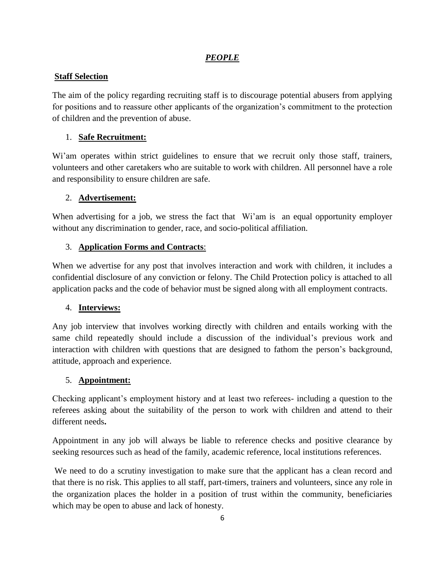## *PEOPLE*

## **Staff Selection**

The aim of the policy regarding recruiting staff is to discourage potential abusers from applying for positions and to reassure other applicants of the organization's commitment to the protection of children and the prevention of abuse.

## 1. **Safe Recruitment:**

Wi'am operates within strict guidelines to ensure that we recruit only those staff, trainers, volunteers and other caretakers who are suitable to work with children. All personnel have a role and responsibility to ensure children are safe.

## 2. **Advertisement:**

When advertising for a job, we stress the fact that Wi'am is an equal opportunity employer without any discrimination to gender, race, and socio-political affiliation.

## 3. **Application Forms and Contracts**:

When we advertise for any post that involves interaction and work with children, it includes a confidential disclosure of any conviction or felony. The Child Protection policy is attached to all application packs and the code of behavior must be signed along with all employment contracts.

## 4. **Interviews:**

Any job interview that involves working directly with children and entails working with the same child repeatedly should include a discussion of the individual's previous work and interaction with children with questions that are designed to fathom the person's background, attitude, approach and experience.

## 5. **Appointment:**

Checking applicant's employment history and at least two referees- including a question to the referees asking about the suitability of the person to work with children and attend to their different needs**.**

Appointment in any job will always be liable to reference checks and positive clearance by seeking resources such as head of the family, academic reference, local institutions references.

We need to do a scrutiny investigation to make sure that the applicant has a clean record and that there is no risk. This applies to all staff, part-timers, trainers and volunteers, since any role in the organization places the holder in a position of trust within the community, beneficiaries which may be open to abuse and lack of honesty.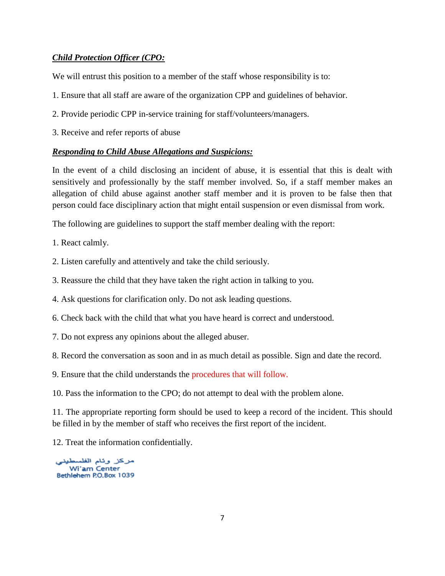## *Child Protection Officer (CPO:*

We will entrust this position to a member of the staff whose responsibility is to:

- 1. Ensure that all staff are aware of the organization CPP and guidelines of behavior.
- 2. Provide periodic CPP in-service training for staff/volunteers/managers.
- 3. Receive and refer reports of abuse

#### *Responding to Child Abuse Allegations and Suspicions:*

In the event of a child disclosing an incident of abuse, it is essential that this is dealt with sensitively and professionally by the staff member involved. So, if a staff member makes an allegation of child abuse against another staff member and it is proven to be false then that person could face disciplinary action that might entail suspension or even dismissal from work.

The following are guidelines to support the staff member dealing with the report:

- 1. React calmly.
- 2. Listen carefully and attentively and take the child seriously.
- 3. Reassure the child that they have taken the right action in talking to you.
- 4. Ask questions for clarification only. Do not ask leading questions.
- 6. Check back with the child that what you have heard is correct and understood.
- 7. Do not express any opinions about the alleged abuser.
- 8. Record the conversation as soon and in as much detail as possible. Sign and date the record.
- 9. Ensure that the child understands the procedures that will follow.
- 10. Pass the information to the CPO; do not attempt to deal with the problem alone.

11. The appropriate reporting form should be used to keep a record of the incident. This should be filled in by the member of staff who receives the first report of the incident.

12. Treat the information confidentially.

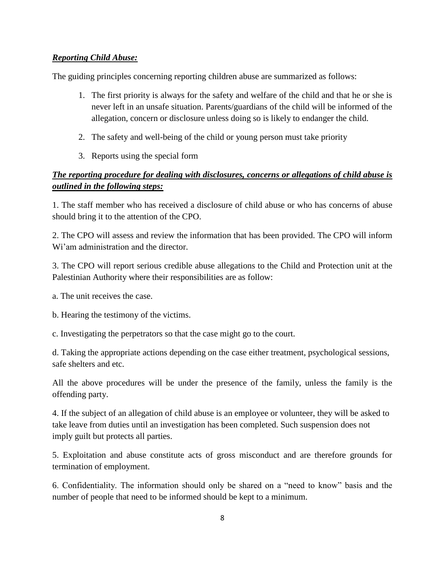## *Reporting Child Abuse:*

The guiding principles concerning reporting children abuse are summarized as follows:

- 1. The first priority is always for the safety and welfare of the child and that he or she is never left in an unsafe situation. Parents/guardians of the child will be informed of the allegation, concern or disclosure unless doing so is likely to endanger the child.
- 2. The safety and well-being of the child or young person must take priority
- 3. Reports using the special form

# *The reporting procedure for dealing with disclosures, concerns or allegations of child abuse is outlined in the following steps:*

1. The staff member who has received a disclosure of child abuse or who has concerns of abuse should bring it to the attention of the CPO.

2. The CPO will assess and review the information that has been provided. The CPO will inform Wi'am administration and the director.

3. The CPO will report serious credible abuse allegations to the Child and Protection unit at the Palestinian Authority where their responsibilities are as follow:

a. The unit receives the case.

b. Hearing the testimony of the victims.

c. Investigating the perpetrators so that the case might go to the court.

d. Taking the appropriate actions depending on the case either treatment, psychological sessions, safe shelters and etc.

All the above procedures will be under the presence of the family, unless the family is the offending party.

4. If the subject of an allegation of child abuse is an employee or volunteer, they will be asked to take leave from duties until an investigation has been completed. Such suspension does not imply guilt but protects all parties.

5. Exploitation and abuse constitute acts of gross misconduct and are therefore grounds for termination of employment.

6. Confidentiality. The information should only be shared on a "need to know" basis and the number of people that need to be informed should be kept to a minimum.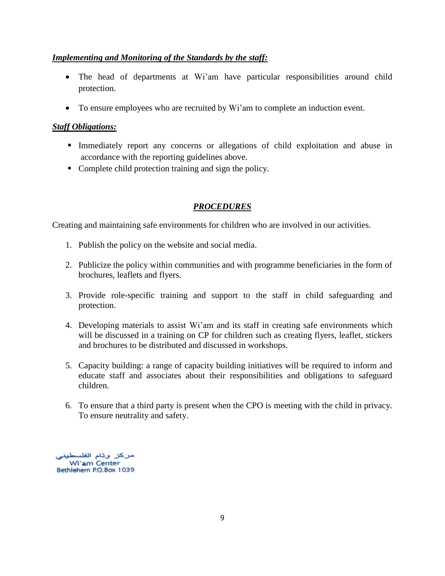## *Implementing and Monitoring of the Standards by the staff:*

- The head of departments at Wi'am have particular responsibilities around child protection.
- To ensure employees who are recruited by Wi'am to complete an induction event.

## *Staff Obligations:*

- Immediately report any concerns or allegations of child exploitation and abuse in accordance with the reporting guidelines above.
- Complete child protection training and sign the policy.

# *PROCEDURES*

Creating and maintaining safe environments for children who are involved in our activities.

- 1. Publish the policy on the website and social media.
- 2. Publicize the policy within communities and with programme beneficiaries in the form of brochures, leaflets and flyers.
- 3. Provide role-specific training and support to the staff in child safeguarding and protection.
- 4. Developing materials to assist Wi'am and its staff in creating safe environments which will be discussed in a training on CP for children such as creating flyers, leaflet, stickers and brochures to be distributed and discussed in workshops.
- 5. Capacity building: a range of capacity building initiatives will be required to inform and educate staff and associates about their responsibilities and obligations to safeguard children.
- 6. To ensure that a third party is present when the CPO is meeting with the child in privacy. To ensure neutrality and safety.

مركز وئام الفلسطيني Wi'am Center Bethlehem P.O.Box 1039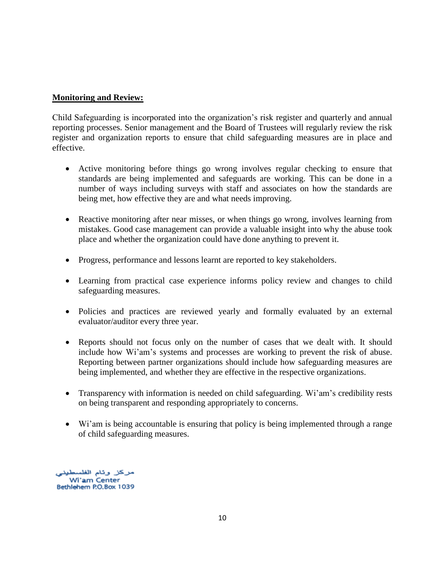### **Monitoring and Review:**

Child Safeguarding is incorporated into the organization's risk register and quarterly and annual reporting processes. Senior management and the Board of Trustees will regularly review the risk register and organization reports to ensure that child safeguarding measures are in place and effective.

- Active monitoring before things go wrong involves regular checking to ensure that standards are being implemented and safeguards are working. This can be done in a number of ways including surveys with staff and associates on how the standards are being met, how effective they are and what needs improving.
- Reactive monitoring after near misses, or when things go wrong, involves learning from mistakes. Good case management can provide a valuable insight into why the abuse took place and whether the organization could have done anything to prevent it.
- Progress, performance and lessons learnt are reported to key stakeholders.
- Learning from practical case experience informs policy review and changes to child safeguarding measures.
- Policies and practices are reviewed yearly and formally evaluated by an external evaluator/auditor every three year.
- Reports should not focus only on the number of cases that we dealt with. It should include how Wi'am's systems and processes are working to prevent the risk of abuse. Reporting between partner organizations should include how safeguarding measures are being implemented, and whether they are effective in the respective organizations.
- Transparency with information is needed on child safeguarding. Wi'am's credibility rests on being transparent and responding appropriately to concerns.
- Wi'am is being accountable is ensuring that policy is being implemented through a range of child safeguarding measures.